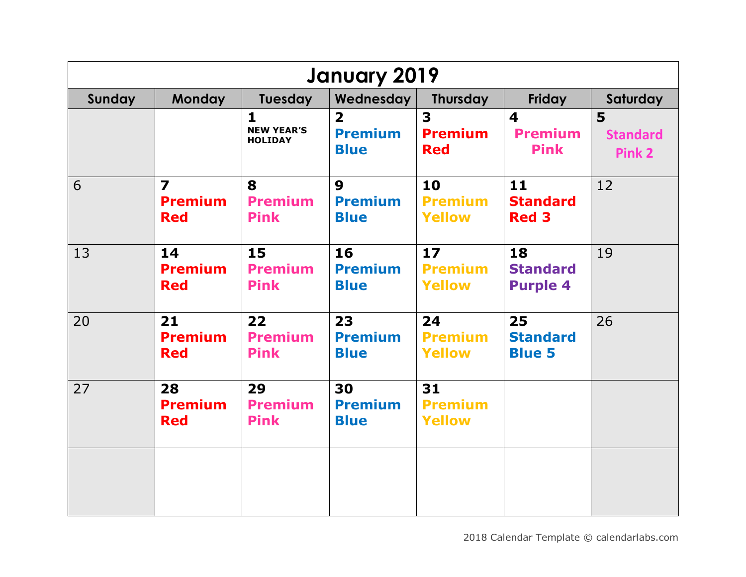| <b>January 2019</b> |                                                         |                                                     |                                                          |                                       |                                                          |                                |  |  |
|---------------------|---------------------------------------------------------|-----------------------------------------------------|----------------------------------------------------------|---------------------------------------|----------------------------------------------------------|--------------------------------|--|--|
| Sunday              | <b>Monday</b>                                           | Tuesday                                             | <b>Wednesday</b>                                         | <b>Thursday</b>                       | Friday                                                   | Saturday                       |  |  |
|                     |                                                         | $\mathbf{1}$<br><b>NEW YEAR'S</b><br><b>HOLIDAY</b> | $\overline{\mathbf{2}}$<br><b>Premium</b><br><b>Blue</b> | 3<br><b>Premium</b><br><b>Red</b>     | $\overline{\mathbf{4}}$<br><b>Premium</b><br><b>Pink</b> | 5<br><b>Standard</b><br>Pink 2 |  |  |
| 6                   | $\overline{\mathbf{z}}$<br><b>Premium</b><br><b>Red</b> | 8<br><b>Premium</b><br><b>Pink</b>                  | $\boldsymbol{9}$<br><b>Premium</b><br><b>Blue</b>        | 10<br><b>Premium</b><br><b>Yellow</b> | $11$<br><b>Standard</b><br><b>Red 3</b>                  | 12                             |  |  |
| 13                  | 14<br><b>Premium</b><br><b>Red</b>                      | 15<br><b>Premium</b><br><b>Pink</b>                 | 16<br><b>Premium</b><br><b>Blue</b>                      | 17<br><b>Premium</b><br><b>Yellow</b> | 18<br><b>Standard</b><br><b>Purple 4</b>                 | 19                             |  |  |
| 20                  | 21<br><b>Premium</b><br><b>Red</b>                      | 22<br><b>Premium</b><br><b>Pink</b>                 | 23<br><b>Premium</b><br><b>Blue</b>                      | 24<br><b>Premium</b><br><b>Yellow</b> | 25<br><b>Standard</b><br><b>Blue 5</b>                   | 26                             |  |  |
| 27                  | 28<br><b>Premium</b><br><b>Red</b>                      | 29<br><b>Premium</b><br><b>Pink</b>                 | 30<br><b>Premium</b><br><b>Blue</b>                      | 31<br><b>Premium</b><br><b>Yellow</b> |                                                          |                                |  |  |
|                     |                                                         |                                                     |                                                          |                                       |                                                          |                                |  |  |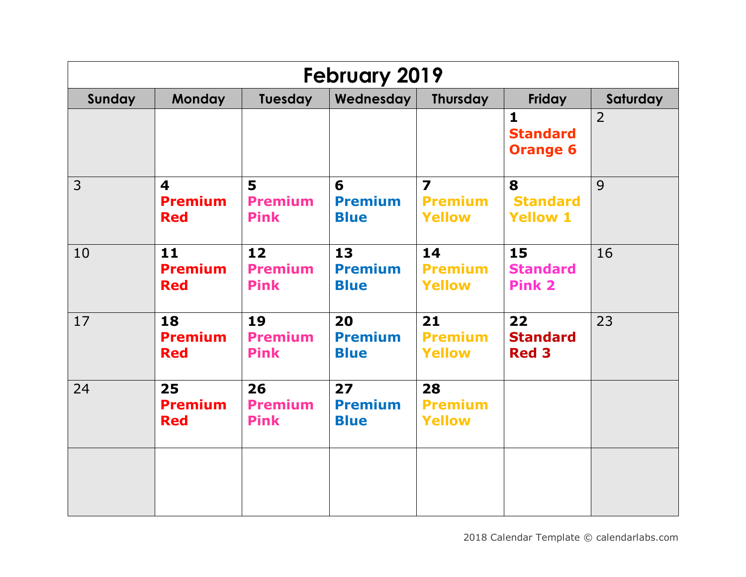| <b>February 2019</b> |                                                         |                                     |                                     |                                                            |                                                    |                |  |  |
|----------------------|---------------------------------------------------------|-------------------------------------|-------------------------------------|------------------------------------------------------------|----------------------------------------------------|----------------|--|--|
| Sunday               | <b>Monday</b>                                           | Tuesday                             | Wednesday                           | <b>Thursday</b>                                            | Friday                                             | Saturday       |  |  |
|                      |                                                         |                                     |                                     |                                                            | $\mathbf{1}$<br><b>Standard</b><br><b>Orange 6</b> | $\overline{2}$ |  |  |
| $\overline{3}$       | $\overline{\mathbf{4}}$<br><b>Premium</b><br><b>Red</b> | 5<br><b>Premium</b><br><b>Pink</b>  | 6<br><b>Premium</b><br><b>Blue</b>  | $\overline{\mathbf{z}}$<br><b>Premium</b><br><b>Yellow</b> | 8<br><b>Standard</b><br><b>Yellow 1</b>            | 9              |  |  |
| 10                   | 11<br><b>Premium</b><br><b>Red</b>                      | 12<br><b>Premium</b><br><b>Pink</b> | 13<br><b>Premium</b><br><b>Blue</b> | 14<br><b>Premium</b><br><b>Yellow</b>                      | 15<br><b>Standard</b><br><b>Pink 2</b>             | 16             |  |  |
| 17                   | 18<br><b>Premium</b><br><b>Red</b>                      | 19<br><b>Premium</b><br><b>Pink</b> | 20<br><b>Premium</b><br><b>Blue</b> | 21<br><b>Premium</b><br><b>Yellow</b>                      | 22<br><b>Standard</b><br><b>Red 3</b>              | 23             |  |  |
| 24                   | 25<br><b>Premium</b><br><b>Red</b>                      | 26<br><b>Premium</b><br><b>Pink</b> | 27<br><b>Premium</b><br><b>Blue</b> | 28<br><b>Premium</b><br><b>Yellow</b>                      |                                                    |                |  |  |
|                      |                                                         |                                     |                                     |                                                            |                                                    |                |  |  |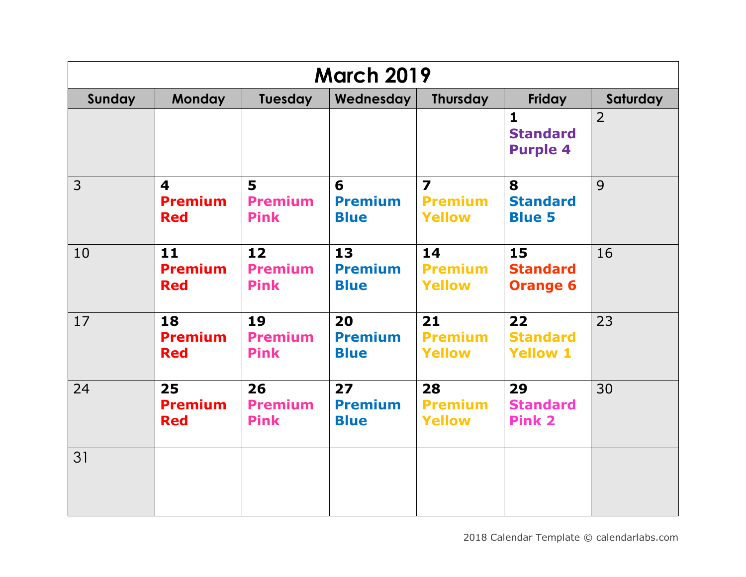|                | <b>March 2019</b>                                       |                                     |                                     |                                                            |                                                    |                |  |  |  |
|----------------|---------------------------------------------------------|-------------------------------------|-------------------------------------|------------------------------------------------------------|----------------------------------------------------|----------------|--|--|--|
| Sunday         | <b>Monday</b>                                           | Tuesday                             | Wednesday                           | <b>Thursday</b>                                            | Friday                                             | Saturday       |  |  |  |
|                |                                                         |                                     |                                     |                                                            | $\mathbf{1}$<br><b>Standard</b><br><b>Purple 4</b> | $\overline{2}$ |  |  |  |
| $\overline{3}$ | $\overline{\mathbf{4}}$<br><b>Premium</b><br><b>Red</b> | 5<br><b>Premium</b><br><b>Pink</b>  | 6<br><b>Premium</b><br><b>Blue</b>  | $\overline{\mathbf{z}}$<br><b>Premium</b><br><b>Yellow</b> | 8<br><b>Standard</b><br><b>Blue 5</b>              | 9              |  |  |  |
| 10             | 11<br><b>Premium</b><br><b>Red</b>                      | 12<br><b>Premium</b><br><b>Pink</b> | 13<br><b>Premium</b><br><b>Blue</b> | 14<br><b>Premium</b><br><b>Yellow</b>                      | 15<br><b>Standard</b><br><b>Orange 6</b>           | 16             |  |  |  |
| 17             | 18<br><b>Premium</b><br><b>Red</b>                      | 19<br><b>Premium</b><br><b>Pink</b> | 20<br><b>Premium</b><br><b>Blue</b> | 21<br><b>Premium</b><br><b>Yellow</b>                      | 22<br><b>Standard</b><br><b>Yellow 1</b>           | 23             |  |  |  |
| 24             | 25<br><b>Premium</b><br><b>Red</b>                      | 26<br><b>Premium</b><br><b>Pink</b> | 27<br><b>Premium</b><br><b>Blue</b> | 28<br><b>Premium</b><br><b>Yellow</b>                      | 29<br><b>Standard</b><br><b>Pink 2</b>             | 30             |  |  |  |
| 31             |                                                         |                                     |                                     |                                                            |                                                    |                |  |  |  |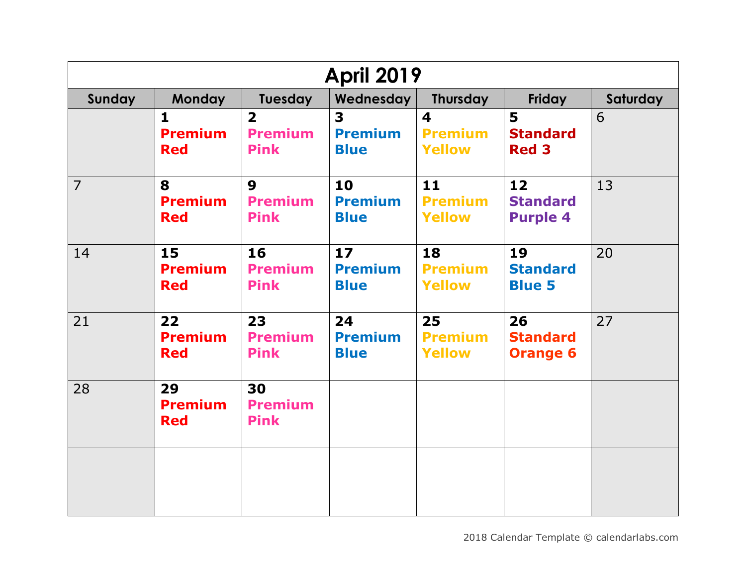| <b>April 2019</b> |                                              |                                                          |                                     |                                                            |                                          |          |  |  |
|-------------------|----------------------------------------------|----------------------------------------------------------|-------------------------------------|------------------------------------------------------------|------------------------------------------|----------|--|--|
| Sunday            | <b>Monday</b>                                | Tuesday                                                  | Wednesday                           | <b>Thursday</b>                                            | <b>Friday</b>                            | Saturday |  |  |
|                   | $\mathbf{1}$<br><b>Premium</b><br><b>Red</b> | $\overline{\mathbf{2}}$<br><b>Premium</b><br><b>Pink</b> | 3<br><b>Premium</b><br><b>Blue</b>  | $\overline{\mathbf{4}}$<br><b>Premium</b><br><b>Yellow</b> | 5<br><b>Standard</b><br><b>Red 3</b>     | 6        |  |  |
| $\overline{7}$    | 8<br><b>Premium</b><br><b>Red</b>            | $\boldsymbol{9}$<br><b>Premium</b><br><b>Pink</b>        | 10<br><b>Premium</b><br><b>Blue</b> | 11<br><b>Premium</b><br><b>Yellow</b>                      | 12<br><b>Standard</b><br><b>Purple 4</b> | 13       |  |  |
| 14                | 15<br><b>Premium</b><br><b>Red</b>           | 16<br><b>Premium</b><br><b>Pink</b>                      | 17<br><b>Premium</b><br><b>Blue</b> | 18<br><b>Premium</b><br><b>Yellow</b>                      | 19<br><b>Standard</b><br><b>Blue 5</b>   | 20       |  |  |
| 21                | 22<br><b>Premium</b><br><b>Red</b>           | 23<br><b>Premium</b><br><b>Pink</b>                      | 24<br><b>Premium</b><br><b>Blue</b> | 25<br><b>Premium</b><br><b>Yellow</b>                      | 26<br><b>Standard</b><br><b>Orange 6</b> | 27       |  |  |
| 28                | 29<br><b>Premium</b><br><b>Red</b>           | 30<br><b>Premium</b><br><b>Pink</b>                      |                                     |                                                            |                                          |          |  |  |
|                   |                                              |                                                          |                                     |                                                            |                                          |          |  |  |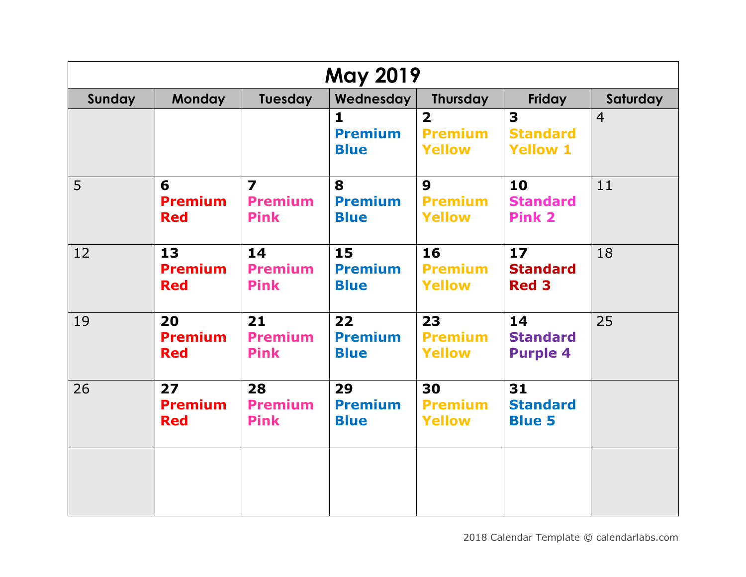| <b>May 2019</b> |                                    |                                                          |                                     |                                                            |                                                               |                |  |  |
|-----------------|------------------------------------|----------------------------------------------------------|-------------------------------------|------------------------------------------------------------|---------------------------------------------------------------|----------------|--|--|
| Sunday          | <b>Monday</b>                      | Tuesday                                                  | Wednesday                           | <b>Thursday</b>                                            | Friday                                                        | Saturday       |  |  |
|                 |                                    |                                                          | 1<br><b>Premium</b><br><b>Blue</b>  | $\overline{\mathbf{2}}$<br><b>Premium</b><br><b>Yellow</b> | $\overline{\mathbf{3}}$<br><b>Standard</b><br><b>Yellow 1</b> | $\overline{4}$ |  |  |
| 5               | 6<br><b>Premium</b><br><b>Red</b>  | $\overline{\mathbf{z}}$<br><b>Premium</b><br><b>Pink</b> | 8<br><b>Premium</b><br><b>Blue</b>  | $\boldsymbol{9}$<br><b>Premium</b><br><b>Yellow</b>        | 10<br><b>Standard</b><br><b>Pink 2</b>                        | 11             |  |  |
| 12              | 13<br><b>Premium</b><br><b>Red</b> | 14<br><b>Premium</b><br><b>Pink</b>                      | 15<br><b>Premium</b><br><b>Blue</b> | 16<br><b>Premium</b><br><b>Yellow</b>                      | 17<br><b>Standard</b><br><b>Red 3</b>                         | 18             |  |  |
| 19              | 20<br><b>Premium</b><br><b>Red</b> | 21<br><b>Premium</b><br><b>Pink</b>                      | 22<br><b>Premium</b><br><b>Blue</b> | 23<br><b>Premium</b><br><b>Yellow</b>                      | 14<br><b>Standard</b><br><b>Purple 4</b>                      | 25             |  |  |
| 26              | 27<br><b>Premium</b><br><b>Red</b> | 28<br><b>Premium</b><br><b>Pink</b>                      | 29<br><b>Premium</b><br><b>Blue</b> | 30<br><b>Premium</b><br><b>Yellow</b>                      | 31<br><b>Standard</b><br><b>Blue 5</b>                        |                |  |  |
|                 |                                    |                                                          |                                     |                                                            |                                                               |                |  |  |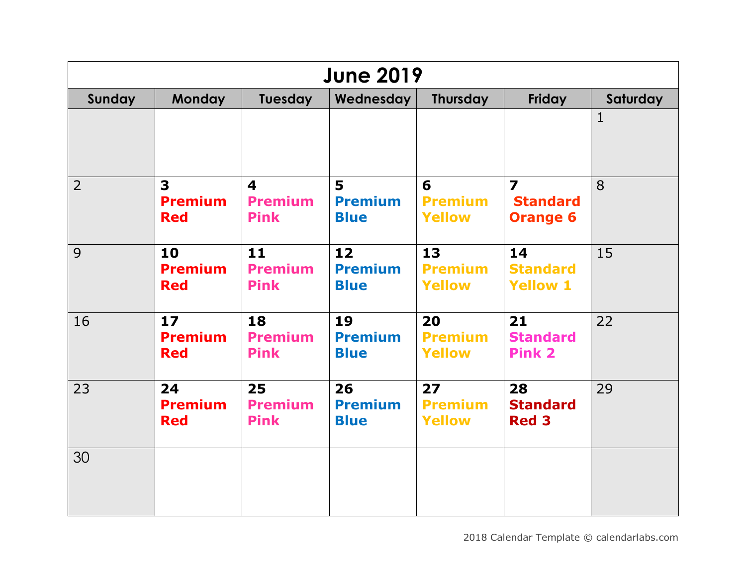|                | <b>June 2019</b>                                        |                                                          |                                     |                                       |                                                               |              |  |  |  |
|----------------|---------------------------------------------------------|----------------------------------------------------------|-------------------------------------|---------------------------------------|---------------------------------------------------------------|--------------|--|--|--|
| Sunday         | <b>Monday</b>                                           | Tuesday                                                  | Wednesday                           | <b>Thursday</b>                       | <b>Friday</b>                                                 | Saturday     |  |  |  |
|                |                                                         |                                                          |                                     |                                       |                                                               | $\mathbf{1}$ |  |  |  |
| $\overline{2}$ | $\overline{\mathbf{3}}$<br><b>Premium</b><br><b>Red</b> | $\overline{\mathbf{4}}$<br><b>Premium</b><br><b>Pink</b> | 5<br><b>Premium</b><br><b>Blue</b>  | 6<br><b>Premium</b><br><b>Yellow</b>  | $\overline{\mathbf{z}}$<br><b>Standard</b><br><b>Orange 6</b> | 8            |  |  |  |
| 9              | 10<br><b>Premium</b><br><b>Red</b>                      | 11<br><b>Premium</b><br><b>Pink</b>                      | 12<br><b>Premium</b><br><b>Blue</b> | 13<br><b>Premium</b><br><b>Yellow</b> | 14<br><b>Standard</b><br><b>Yellow 1</b>                      | 15           |  |  |  |
| 16             | 17<br><b>Premium</b><br><b>Red</b>                      | 18<br><b>Premium</b><br><b>Pink</b>                      | 19<br><b>Premium</b><br><b>Blue</b> | 20<br><b>Premium</b><br><b>Yellow</b> | 21<br><b>Standard</b><br><b>Pink 2</b>                        | 22           |  |  |  |
| 23             | 24<br><b>Premium</b><br><b>Red</b>                      | 25<br><b>Premium</b><br><b>Pink</b>                      | 26<br><b>Premium</b><br><b>Blue</b> | 27<br><b>Premium</b><br><b>Yellow</b> | 28<br><b>Standard</b><br><b>Red 3</b>                         | 29           |  |  |  |
| 30             |                                                         |                                                          |                                     |                                       |                                                               |              |  |  |  |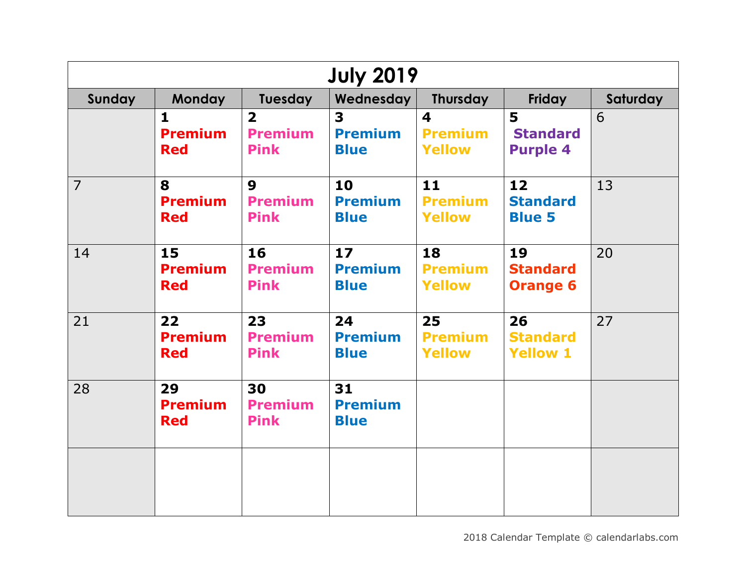| <b>July 2019</b> |                                              |                                                          |                                     |                                                            |                                          |          |  |  |
|------------------|----------------------------------------------|----------------------------------------------------------|-------------------------------------|------------------------------------------------------------|------------------------------------------|----------|--|--|
| Sunday           | <b>Monday</b>                                | Tuesday                                                  | Wednesday                           | <b>Thursday</b>                                            | Friday                                   | Saturday |  |  |
|                  | $\mathbf{1}$<br><b>Premium</b><br><b>Red</b> | $\overline{\mathbf{2}}$<br><b>Premium</b><br><b>Pink</b> | 3<br><b>Premium</b><br><b>Blue</b>  | $\overline{\mathbf{4}}$<br><b>Premium</b><br><b>Yellow</b> | 5<br><b>Standard</b><br><b>Purple 4</b>  | 6        |  |  |
| $\overline{7}$   | 8<br><b>Premium</b><br><b>Red</b>            | $\boldsymbol{9}$<br><b>Premium</b><br><b>Pink</b>        | 10<br><b>Premium</b><br><b>Blue</b> | 11<br><b>Premium</b><br><b>Yellow</b>                      | 12<br><b>Standard</b><br><b>Blue 5</b>   | 13       |  |  |
| 14               | 15<br><b>Premium</b><br><b>Red</b>           | 16<br><b>Premium</b><br><b>Pink</b>                      | 17<br><b>Premium</b><br><b>Blue</b> | 18<br><b>Premium</b><br><b>Yellow</b>                      | 19<br><b>Standard</b><br><b>Orange 6</b> | 20       |  |  |
| 21               | 22<br><b>Premium</b><br><b>Red</b>           | 23<br><b>Premium</b><br><b>Pink</b>                      | 24<br><b>Premium</b><br><b>Blue</b> | 25<br><b>Premium</b><br><b>Yellow</b>                      | 26<br><b>Standard</b><br><b>Yellow 1</b> | 27       |  |  |
| 28               | 29<br><b>Premium</b><br><b>Red</b>           | 30<br><b>Premium</b><br><b>Pink</b>                      | 31<br><b>Premium</b><br><b>Blue</b> |                                                            |                                          |          |  |  |
|                  |                                              |                                                          |                                     |                                                            |                                          |          |  |  |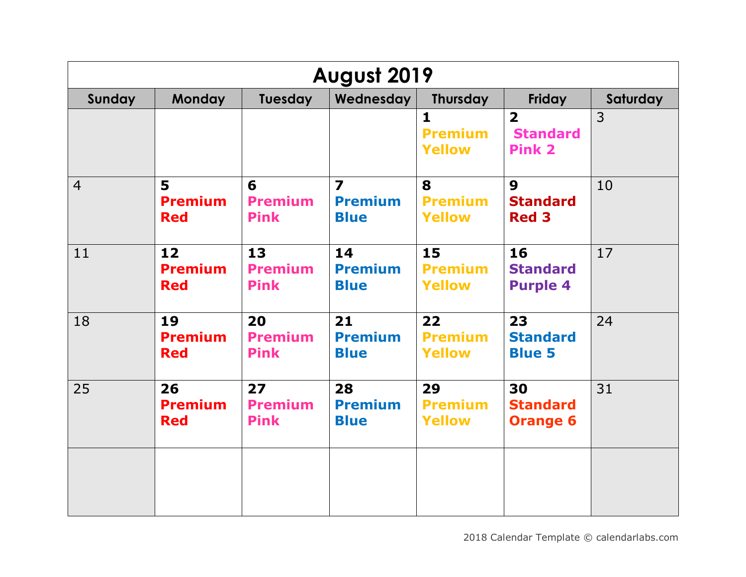| August 2019    |                                    |                                     |                                                          |                                                 |                                                             |          |  |  |
|----------------|------------------------------------|-------------------------------------|----------------------------------------------------------|-------------------------------------------------|-------------------------------------------------------------|----------|--|--|
| Sunday         | <b>Monday</b>                      | Tuesday                             | Wednesday                                                | <b>Thursday</b>                                 | Friday                                                      | Saturday |  |  |
|                |                                    |                                     |                                                          | $\mathbf{1}$<br><b>Premium</b><br><b>Yellow</b> | $\overline{\mathbf{2}}$<br><b>Standard</b><br><b>Pink 2</b> | 3        |  |  |
| $\overline{4}$ | 5<br><b>Premium</b><br><b>Red</b>  | 6<br><b>Premium</b><br><b>Pink</b>  | $\overline{\mathbf{z}}$<br><b>Premium</b><br><b>Blue</b> | 8<br><b>Premium</b><br><b>Yellow</b>            | $\boldsymbol{9}$<br><b>Standard</b><br><b>Red 3</b>         | 10       |  |  |
| 11             | 12<br><b>Premium</b><br><b>Red</b> | 13<br><b>Premium</b><br><b>Pink</b> | 14<br><b>Premium</b><br><b>Blue</b>                      | 15<br><b>Premium</b><br><b>Yellow</b>           | 16<br><b>Standard</b><br><b>Purple 4</b>                    | 17       |  |  |
| 18             | 19<br><b>Premium</b><br><b>Red</b> | 20<br><b>Premium</b><br><b>Pink</b> | 21<br><b>Premium</b><br><b>Blue</b>                      | 22<br><b>Premium</b><br><b>Yellow</b>           | 23<br><b>Standard</b><br><b>Blue 5</b>                      | 24       |  |  |
| 25             | 26<br><b>Premium</b><br><b>Red</b> | 27<br><b>Premium</b><br><b>Pink</b> | 28<br><b>Premium</b><br><b>Blue</b>                      | 29<br><b>Premium</b><br><b>Yellow</b>           | 30<br><b>Standard</b><br><b>Orange 6</b>                    | 31       |  |  |
|                |                                    |                                     |                                                          |                                                 |                                                             |          |  |  |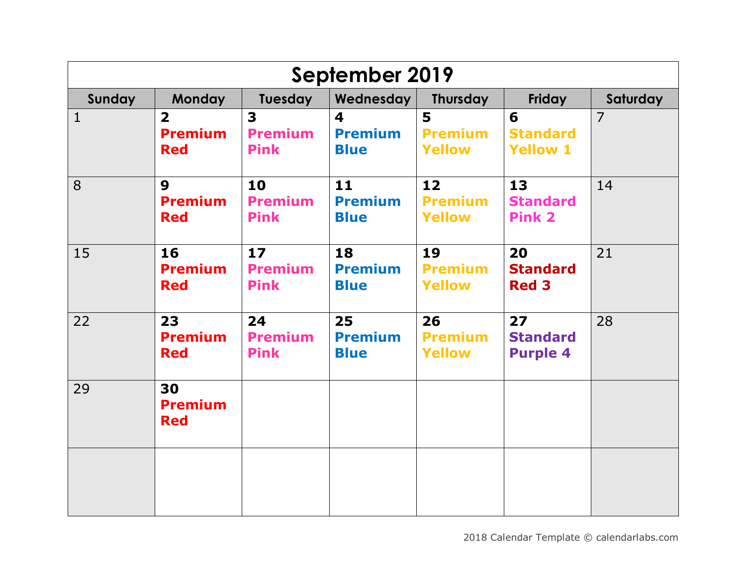| September 2019 |                                                         |                                     |                                     |                                       |                                          |                |  |  |
|----------------|---------------------------------------------------------|-------------------------------------|-------------------------------------|---------------------------------------|------------------------------------------|----------------|--|--|
| Sunday         | <b>Monday</b>                                           | Tuesday                             | Wednesday                           | Thursday                              | Friday                                   | Saturday       |  |  |
| $\mathbf{1}$   | $\overline{\mathbf{2}}$<br><b>Premium</b><br><b>Red</b> | 3<br><b>Premium</b><br><b>Pink</b>  | 4<br><b>Premium</b><br><b>Blue</b>  | 5<br><b>Premium</b><br><b>Yellow</b>  | 6<br><b>Standard</b><br><b>Yellow 1</b>  | $\overline{7}$ |  |  |
| 8              | $\boldsymbol{9}$<br><b>Premium</b><br><b>Red</b>        | 10<br><b>Premium</b><br><b>Pink</b> | 11<br><b>Premium</b><br><b>Blue</b> | 12<br><b>Premium</b><br><b>Yellow</b> | 13<br><b>Standard</b><br><b>Pink 2</b>   | 14             |  |  |
| 15             | 16<br><b>Premium</b><br><b>Red</b>                      | 17<br><b>Premium</b><br><b>Pink</b> | 18<br><b>Premium</b><br><b>Blue</b> | 19<br><b>Premium</b><br><b>Yellow</b> | 20<br><b>Standard</b><br><b>Red 3</b>    | 21             |  |  |
| 22             | 23<br><b>Premium</b><br><b>Red</b>                      | 24<br><b>Premium</b><br><b>Pink</b> | 25<br><b>Premium</b><br><b>Blue</b> | 26<br><b>Premium</b><br><b>Yellow</b> | 27<br><b>Standard</b><br><b>Purple 4</b> | 28             |  |  |
| 29             | 30<br><b>Premium</b><br><b>Red</b>                      |                                     |                                     |                                       |                                          |                |  |  |
|                |                                                         |                                     |                                     |                                       |                                          |                |  |  |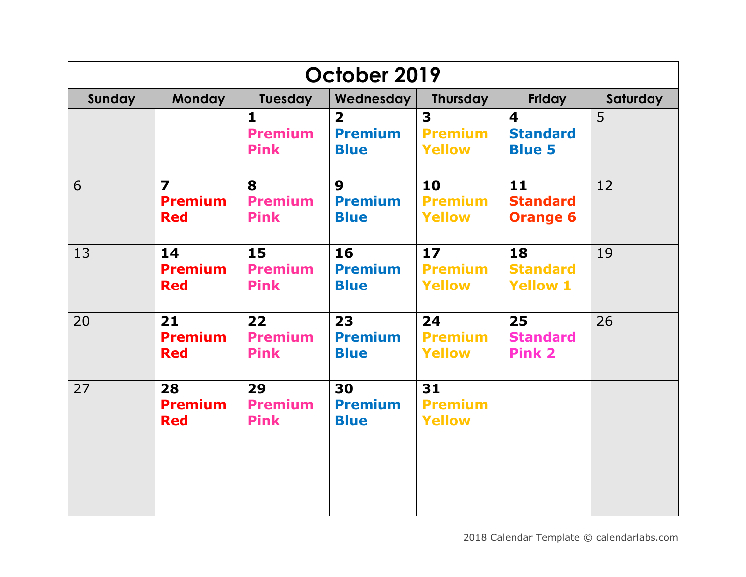| October 2019 |                                                         |                                               |                                                   |                                                            |                                                             |          |  |  |
|--------------|---------------------------------------------------------|-----------------------------------------------|---------------------------------------------------|------------------------------------------------------------|-------------------------------------------------------------|----------|--|--|
| Sunday       | <b>Monday</b>                                           | Tuesday                                       | Wednesday                                         | <b>Thursday</b>                                            | Friday                                                      | Saturday |  |  |
|              |                                                         | $\mathbf{1}$<br><b>Premium</b><br><b>Pink</b> | $\overline{2}$<br><b>Premium</b><br><b>Blue</b>   | $\overline{\mathbf{3}}$<br><b>Premium</b><br><b>Yellow</b> | $\overline{\mathbf{4}}$<br><b>Standard</b><br><b>Blue 5</b> | 5        |  |  |
| 6            | $\overline{\mathbf{z}}$<br><b>Premium</b><br><b>Red</b> | 8<br><b>Premium</b><br><b>Pink</b>            | $\boldsymbol{9}$<br><b>Premium</b><br><b>Blue</b> | 10<br><b>Premium</b><br><b>Yellow</b>                      | 11<br><b>Standard</b><br><b>Orange 6</b>                    | 12       |  |  |
| 13           | 14<br><b>Premium</b><br><b>Red</b>                      | 15<br><b>Premium</b><br><b>Pink</b>           | 16<br><b>Premium</b><br><b>Blue</b>               | 17<br><b>Premium</b><br><b>Yellow</b>                      | 18<br><b>Standard</b><br><b>Yellow 1</b>                    | 19       |  |  |
| 20           | 21<br><b>Premium</b><br><b>Red</b>                      | 22<br><b>Premium</b><br><b>Pink</b>           | 23<br><b>Premium</b><br><b>Blue</b>               | 24<br><b>Premium</b><br><b>Yellow</b>                      | 25<br><b>Standard</b><br><b>Pink 2</b>                      | 26       |  |  |
| 27           | 28<br><b>Premium</b><br><b>Red</b>                      | 29<br><b>Premium</b><br><b>Pink</b>           | 30<br><b>Premium</b><br><b>Blue</b>               | 31<br><b>Premium</b><br><b>Yellow</b>                      |                                                             |          |  |  |
|              |                                                         |                                               |                                                   |                                                            |                                                             |          |  |  |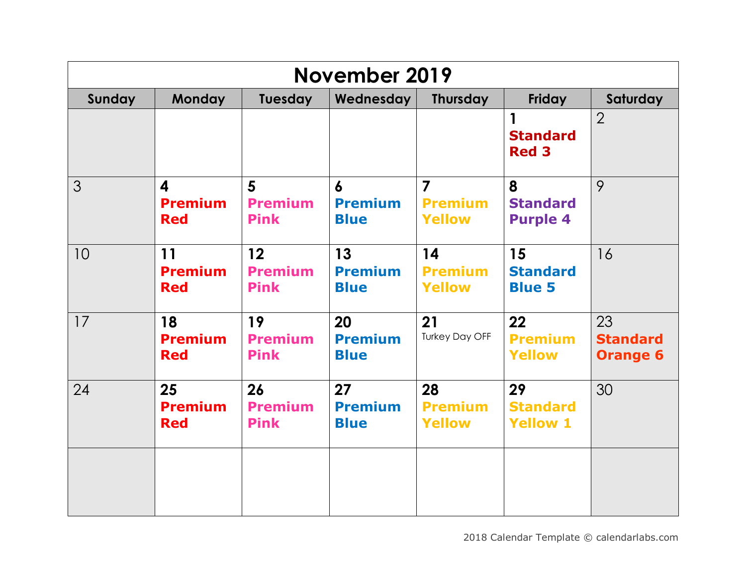|        | <b>November 2019</b>                                    |                                     |                                                   |                                                   |                                          |                                          |  |  |  |
|--------|---------------------------------------------------------|-------------------------------------|---------------------------------------------------|---------------------------------------------------|------------------------------------------|------------------------------------------|--|--|--|
| Sunday | <b>Monday</b>                                           | Tuesday                             | Wednesday                                         | <b>Thursday</b>                                   | Friday                                   | Saturday                                 |  |  |  |
|        |                                                         |                                     |                                                   |                                                   | 1<br><b>Standard</b><br><b>Red 3</b>     | $\overline{2}$                           |  |  |  |
| 3      | $\overline{\mathbf{4}}$<br><b>Premium</b><br><b>Red</b> | 5<br><b>Premium</b><br><b>Pink</b>  | $\boldsymbol{6}$<br><b>Premium</b><br><b>Blue</b> | $\overline{7}$<br><b>Premium</b><br><b>Yellow</b> | 8<br><b>Standard</b><br><b>Purple 4</b>  | 9                                        |  |  |  |
| 10     | 11<br><b>Premium</b><br><b>Red</b>                      | 12<br><b>Premium</b><br><b>Pink</b> | 13<br><b>Premium</b><br><b>Blue</b>               | 14<br><b>Premium</b><br><b>Yellow</b>             | 15<br><b>Standard</b><br><b>Blue 5</b>   | 16                                       |  |  |  |
| 17     | 18<br><b>Premium</b><br><b>Red</b>                      | 19<br><b>Premium</b><br><b>Pink</b> | 20<br><b>Premium</b><br><b>Blue</b>               | 21<br><b>Turkey Day OFF</b>                       | 22<br><b>Premium</b><br><b>Yellow</b>    | 23<br><b>Standard</b><br><b>Orange 6</b> |  |  |  |
| 24     | 25<br><b>Premium</b><br><b>Red</b>                      | 26<br><b>Premium</b><br><b>Pink</b> | 27<br><b>Premium</b><br><b>Blue</b>               | 28<br><b>Premium</b><br><b>Yellow</b>             | 29<br><b>Standard</b><br><b>Yellow 1</b> | 30                                       |  |  |  |
|        |                                                         |                                     |                                                   |                                                   |                                          |                                          |  |  |  |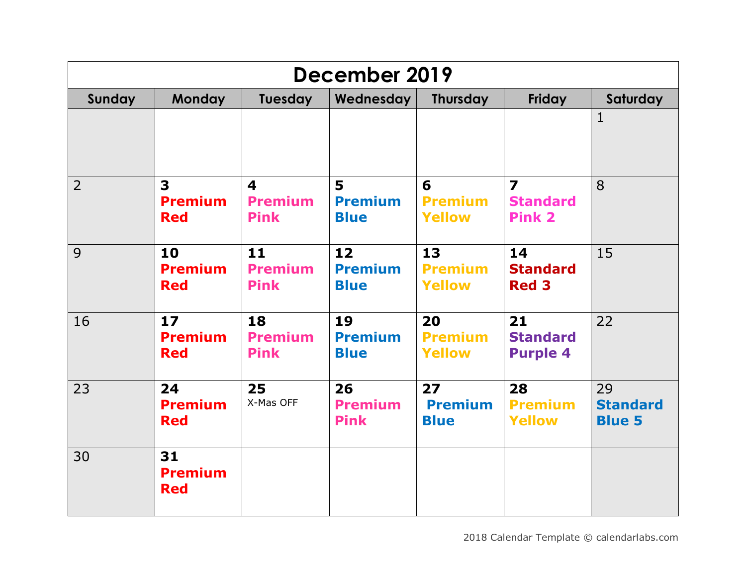| December 2019  |                                                         |                                                          |                                     |                                       |                                                             |                                        |  |  |
|----------------|---------------------------------------------------------|----------------------------------------------------------|-------------------------------------|---------------------------------------|-------------------------------------------------------------|----------------------------------------|--|--|
| Sunday         | <b>Monday</b>                                           | Tuesday                                                  | Wednesday                           | <b>Thursday</b>                       | <b>Friday</b>                                               | Saturday                               |  |  |
|                |                                                         |                                                          |                                     |                                       |                                                             | 1                                      |  |  |
| $\overline{2}$ | $\overline{\mathbf{3}}$<br><b>Premium</b><br><b>Red</b> | $\overline{\mathbf{4}}$<br><b>Premium</b><br><b>Pink</b> | 5<br><b>Premium</b><br><b>Blue</b>  | 6<br><b>Premium</b><br><b>Yellow</b>  | $\overline{\mathbf{z}}$<br><b>Standard</b><br><b>Pink 2</b> | 8                                      |  |  |
| 9              | 10<br><b>Premium</b><br><b>Red</b>                      | 11<br><b>Premium</b><br><b>Pink</b>                      | 12<br><b>Premium</b><br><b>Blue</b> | 13<br><b>Premium</b><br><b>Yellow</b> | 14<br><b>Standard</b><br><b>Red 3</b>                       | 15                                     |  |  |
| 16             | 17<br><b>Premium</b><br><b>Red</b>                      | 18<br><b>Premium</b><br><b>Pink</b>                      | 19<br><b>Premium</b><br><b>Blue</b> | 20<br><b>Premium</b><br><b>Yellow</b> | 21<br><b>Standard</b><br><b>Purple 4</b>                    | 22                                     |  |  |
| 23             | 24<br><b>Premium</b><br><b>Red</b>                      | 25<br>X-Mas OFF                                          | 26<br><b>Premium</b><br><b>Pink</b> | 27<br><b>Premium</b><br><b>Blue</b>   | 28<br><b>Premium</b><br><b>Yellow</b>                       | 29<br><b>Standard</b><br><b>Blue 5</b> |  |  |
| 30             | 31<br><b>Premium</b><br><b>Red</b>                      |                                                          |                                     |                                       |                                                             |                                        |  |  |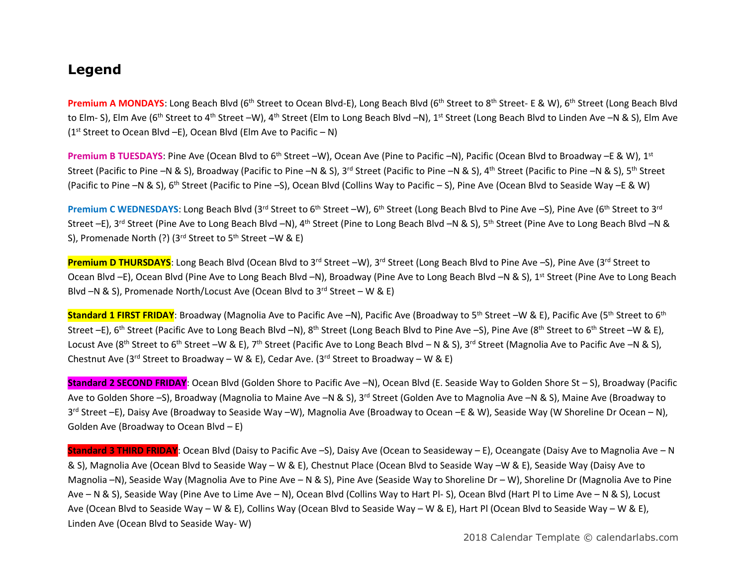## **Legend**

Premium A MONDAYS: Long Beach Blvd (6<sup>th</sup> Street to Ocean Blvd-E), Long Beach Blvd (6<sup>th</sup> Street to 8<sup>th</sup> Street- E & W), 6<sup>th</sup> Street (Long Beach Blvd to Elm- S), Elm Ave (6<sup>th</sup> Street to 4<sup>th</sup> Street –W), 4<sup>th</sup> Street (Elm to Long Beach Blvd –N), 1<sup>st</sup> Street (Long Beach Blvd to Linden Ave –N & S), Elm Ave (1 st Street to Ocean Blvd –E), Ocean Blvd (Elm Ave to Pacific – N)

Premium B TUESDAYS: Pine Ave (Ocean Blvd to 6<sup>th</sup> Street –W), Ocean Ave (Pine to Pacific –N), Pacific (Ocean Blvd to Broadway –E & W). 1<sup>st</sup> Street (Pacific to Pine –N & S), Broadway (Pacific to Pine –N & S), 3<sup>rd</sup> Street (Pacific to Pine –N & S), 4<sup>th</sup> Street (Pacific to Pine –N & S), 5<sup>th</sup> Street (Pacific to Pine –N & S), 6th Street (Pacific to Pine –S), Ocean Blvd (Collins Way to Pacific – S), Pine Ave (Ocean Blvd to Seaside Way –E & W)

Premium C WEDNESDAYS: Long Beach Blvd (3<sup>rd</sup> Street to 6<sup>th</sup> Street –W), 6<sup>th</sup> Street (Long Beach Blvd to Pine Ave –S), Pine Ave (6<sup>th</sup> Street to 3<sup>rd</sup> Street –E), 3<sup>rd</sup> Street (Pine Ave to Long Beach Blvd –N), 4<sup>th</sup> Street (Pine to Long Beach Blvd –N & S), 5<sup>th</sup> Street (Pine Ave to Long Beach Blvd –N & S), Promenade North (?) (3<sup>rd</sup> Street to 5<sup>th</sup> Street –W & E)

**Premium D THURSDAYS**: Long Beach Blvd (Ocean Blvd to 3<sup>rd</sup> Street –W), 3<sup>rd</sup> Street (Long Beach Blvd to Pine Ave –S), Pine Ave (3<sup>rd</sup> Street to Ocean Blvd –E), Ocean Blvd (Pine Ave to Long Beach Blvd –N), Broadway (Pine Ave to Long Beach Blvd –N & S), 1<sup>st</sup> Street (Pine Ave to Long Beach Blvd  $-N$  & S), Promenade North/Locust Ave (Ocean Blvd to 3<sup>rd</sup> Street – W & E)

**Standard 1 FIRST FRIDAY**: Broadway (Magnolia Ave to Pacific Ave –N), Pacific Ave (Broadway to 5<sup>th</sup> Street –W & E), Pacific Ave (5<sup>th</sup> Street to 6<sup>th</sup>) Street –E), 6<sup>th</sup> Street (Pacific Ave to Long Beach Blvd –N), 8<sup>th</sup> Street (Long Beach Blvd to Pine Ave –S), Pine Ave (8<sup>th</sup> Street to 6<sup>th</sup> Street –W & E), Locust Ave (8<sup>th</sup> Street to 6<sup>th</sup> Street –W & E), 7<sup>th</sup> Street (Pacific Ave to Long Beach Blvd – N & S), 3<sup>rd</sup> Street (Magnolia Ave to Pacific Ave –N & S), Chestnut Ave (3<sup>rd</sup> Street to Broadway – W & E), Cedar Ave. (3<sup>rd</sup> Street to Broadway – W & E)

**Standard 2 SECOND FRIDAY**: Ocean Blvd (Golden Shore to Pacific Ave –N), Ocean Blvd (E. Seaside Way to Golden Shore St – S), Broadway (Pacific Ave to Golden Shore –S), Broadway (Magnolia to Maine Ave –N & S), 3<sup>rd</sup> Street (Golden Ave to Magnolia Ave –N & S), Maine Ave (Broadway to 3<sup>rd</sup> Street –E), Daisy Ave (Broadway to Seaside Way –W), Magnolia Ave (Broadway to Ocean –E & W), Seaside Way (W Shoreline Dr Ocean – N), Golden Ave (Broadway to Ocean Blvd – E)

**Standard 3 THIRD FRIDAY**: Ocean Blvd (Daisy to Pacific Ave –S), Daisy Ave (Ocean to Seasideway – E), Oceangate (Daisy Ave to Magnolia Ave – N & S), Magnolia Ave (Ocean Blvd to Seaside Way – W & E), Chestnut Place (Ocean Blvd to Seaside Way –W & E), Seaside Way (Daisy Ave to Magnolia –N), Seaside Way (Magnolia Ave to Pine Ave – N & S), Pine Ave (Seaside Way to Shoreline Dr – W), Shoreline Dr (Magnolia Ave to Pine Ave – N & S), Seaside Way (Pine Ave to Lime Ave – N), Ocean Blvd (Collins Way to Hart Pl- S), Ocean Blvd (Hart Pl to Lime Ave – N & S), Locust Ave (Ocean Blvd to Seaside Way – W & E), Collins Way (Ocean Blvd to Seaside Way – W & E), Hart Pl (Ocean Blvd to Seaside Way – W & E), Linden Ave (Ocean Blvd to Seaside Way- W)